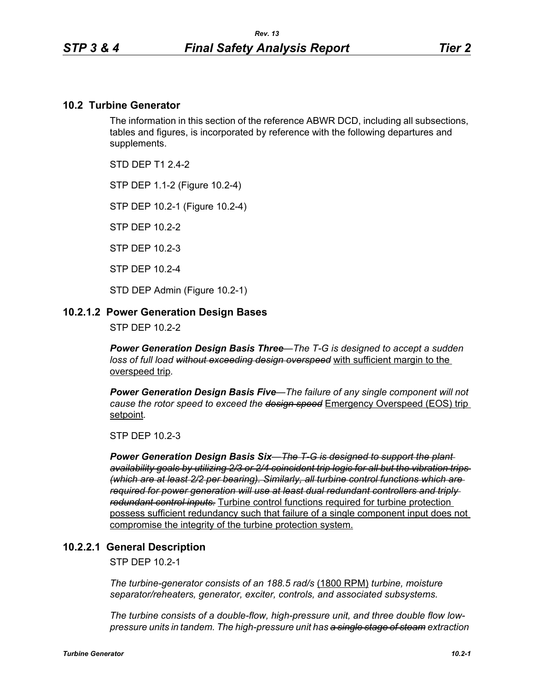#### **10.2 Turbine Generator**

The information in this section of the reference ABWR DCD, including all subsections, tables and figures, is incorporated by reference with the following departures and supplements.

STD DFP T1 2 4-2

STP DEP 1.1-2 (Figure 10.2-4)

STP DEP 10.2-1 (Figure 10.2-4)

STP DEP 10.2-2

STP DEP 10.2-3

STP DEP 10.2-4

STD DEP Admin (Figure 10.2-1)

#### **10.2.1.2 Power Generation Design Bases**

STP DEP 10.2-2

*Power Generation Design Basis Three—The T-G is designed to accept a sudden loss of full load without exceeding design overspeed* with sufficient margin to the overspeed trip*.* 

*Power Generation Design Basis Five—The failure of any single component will not cause the rotor speed to exceed the design speed* Emergency Overspeed (EOS) trip setpoint*.* 

STP DEP 10.2-3

*Power Generation Design Basis Six—The T-G is designed to support the plant availability goals by utilizing 2/3 or 2/4 coincident trip logic for all but the vibration trips (which are at least 2/2 per bearing). Similarly, all turbine control functions which are required for power generation will use at least dual redundant controllers and triply redundant control inputs.* Turbine control functions required for turbine protection possess sufficient redundancy such that failure of a single component input does not compromise the integrity of the turbine protection system.

#### **10.2.2.1 General Description**

STP DEP 10.2-1

*The turbine-generator consists of an 188.5 rad/s* (1800 RPM) *turbine, moisture separator/reheaters, generator, exciter, controls, and associated subsystems.*

*The turbine consists of a double-flow, high-pressure unit, and three double flow lowpressure units in tandem. The high-pressure unit has a single stage of steam extraction*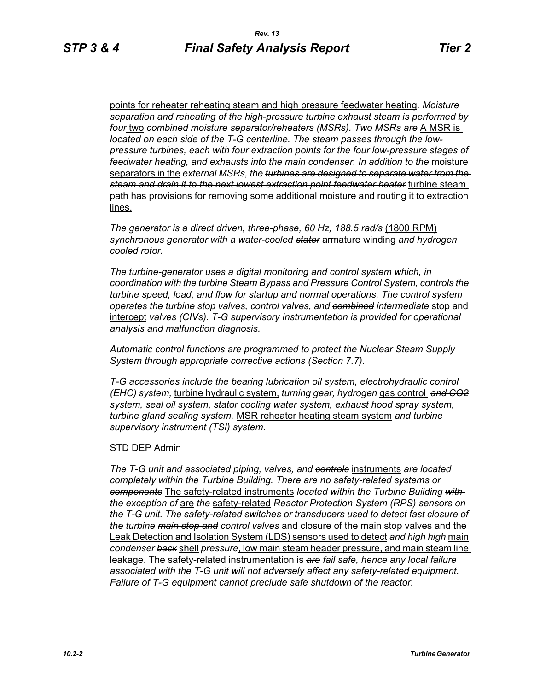points for reheater reheating steam and high pressure feedwater heating*. Moisture separation and reheating of the high-pressure turbine exhaust steam is performed by four* two *combined moisture separator/reheaters (MSRs). Two MSRs are* A MSR is *located on each side of the T-G centerline. The steam passes through the lowpressure turbines, each with four extraction points for the four low-pressure stages of*  feedwater heating, and exhausts into the main condenser. In addition to the moisture separators in the *external MSRs, the turbines are designed to separate water from the steam and drain it to the next lowest extraction point feedwater heater* turbine steam path has provisions for removing some additional moisture and routing it to extraction lines.

*The generator is a direct driven, three-phase, 60 Hz, 188.5 rad/s* (1800 RPM) *synchronous generator with a water-cooled stator* armature winding *and hydrogen cooled rotor.*

*The turbine-generator uses a digital monitoring and control system which, in coordination with the turbine Steam Bypass and Pressure Control System, controls the turbine speed, load, and flow for startup and normal operations. The control system operates the turbine stop valves, control valves, and combined intermediate* stop and intercept *valves (CIVs). T-G supervisory instrumentation is provided for operational analysis and malfunction diagnosis.*

*Automatic control functions are programmed to protect the Nuclear Steam Supply System through appropriate corrective actions (Section 7.7).*

*T-G accessories include the bearing lubrication oil system, electrohydraulic control (EHC) system,* turbine hydraulic system, *turning gear, hydrogen* gas control *and CO2 system, seal oil system, stator cooling water system, exhaust hood spray system, turbine gland sealing system,* MSR reheater heating steam system *and turbine supervisory instrument (TSI) system.*

## STD DEP Admin

*The T-G unit and associated piping, valves, and controls* instruments *are located completely within the Turbine Building. There are no safety-related systems or components* The safety-related instruments *located within the Turbine Building with the exception of* are *the* safety-related *Reactor Protection System (RPS) sensors on the T-G unit. The safety-related switches or transducers used to detect fast closure of the turbine main stop and control valves* and closure of the main stop valves and the Leak Detection and Isolation System (LDS) sensors used to detect *and high high* main *condenser back* shell *pressure*, low main steam header pressure, and main steam line leakage. The safety-related instrumentation is *are fail safe, hence any local failure associated with the T-G unit will not adversely affect any safety-related equipment. Failure of T-G equipment cannot preclude safe shutdown of the reactor.*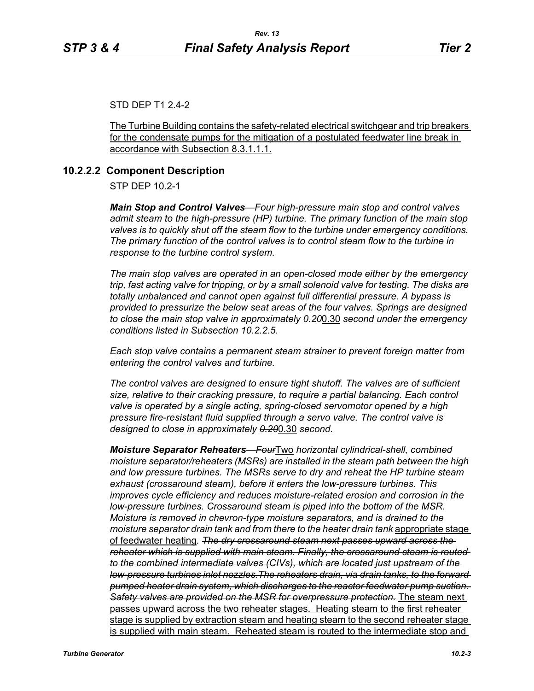## STD DEP T1 2.4-2

The Turbine Building contains the safety-related electrical switchgear and trip breakers for the condensate pumps for the mitigation of a postulated feedwater line break in accordance with Subsection 8.3.1.1.1.

#### **10.2.2.2 Component Description**

STP DEP 10.2-1

*Main Stop and Control Valves—Four high-pressure main stop and control valves admit steam to the high-pressure (HP) turbine. The primary function of the main stop valves is to quickly shut off the steam flow to the turbine under emergency conditions. The primary function of the control valves is to control steam flow to the turbine in response to the turbine control system.*

*The main stop valves are operated in an open-closed mode either by the emergency trip, fast acting valve for tripping, or by a small solenoid valve for testing. The disks are totally unbalanced and cannot open against full differential pressure. A bypass is provided to pressurize the below seat areas of the four valves. Springs are designed to close the main stop valve in approximately 0.20*0.30 *second under the emergency conditions listed in Subsection 10.2.2.5.*

*Each stop valve contains a permanent steam strainer to prevent foreign matter from entering the control valves and turbine.*

*The control valves are designed to ensure tight shutoff. The valves are of sufficient size, relative to their cracking pressure, to require a partial balancing. Each control valve is operated by a single acting, spring-closed servomotor opened by a high pressure fire-resistant fluid supplied through a servo valve. The control valve is designed to close in approximately 0.20*0.30 *second.*

*Moisture Separator Reheaters—Four*Two *horizontal cylindrical-shell, combined moisture separator/reheaters (MSRs) are installed in the steam path between the high and low pressure turbines. The MSRs serve to dry and reheat the HP turbine steam exhaust (crossaround steam), before it enters the low-pressure turbines. This improves cycle efficiency and reduces moisture-related erosion and corrosion in the low-pressure turbines. Crossaround steam is piped into the bottom of the MSR. Moisture is removed in chevron-type moisture separators, and is drained to the moisture separator drain tank and from there to the heater drain tank* appropriate stage of feedwater heating*. The dry crossaround steam next passes upward across the reheater which is supplied with main steam. Finally, the crossaround steam is routed to the combined intermediate valves (CIVs), which are located just upstream of the low-pressure turbines inlet nozzles.The reheaters drain, via drain tanks, to the forward pumped heater drain system, which discharges to the reactor feedwater pump suction. Safety valves are provided on the MSR for overpressure protection.* The steam next passes upward across the two reheater stages. Heating steam to the first reheater stage is supplied by extraction steam and heating steam to the second reheater stage is supplied with main steam. Reheated steam is routed to the intermediate stop and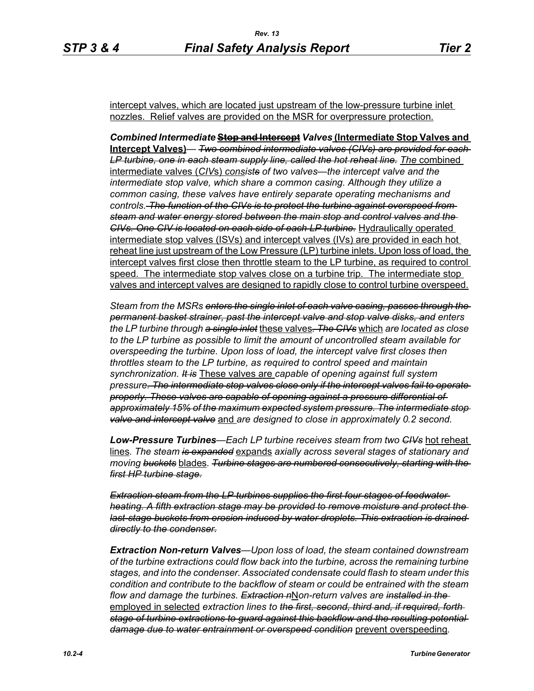intercept valves, which are located just upstream of the low-pressure turbine inlet nozzles. Relief valves are provided on the MSR for overpressure protection.

*Combined Intermediate* **Stop and Intercept** *Valves* **(Intermediate Stop Valves and Intercept Valves)***— Two combined intermediate valves (CIVs) are provided for each*  LP turbine, one in each steam supply line, called the hot reheat line. The combined intermediate valves (*CIV*s) *consists of two valves—the intercept valve and the intermediate stop valve, which share a common casing. Although they utilize a common casing, these valves have entirely separate operating mechanisms and controls. The function of the CIVs is to protect the turbine against overspeed from steam and water energy stored between the main stop and control valves and the CIVs. One CIV is located on each side of each LP turbine.* Hydraulically operated intermediate stop valves (ISVs) and intercept valves (IVs) are provided in each hot reheat line just upstream of the Low Pressure (LP) turbine inlets. Upon loss of load, the intercept valves first close then throttle steam to the LP turbine, as required to control speed. The intermediate stop valves close on a turbine trip. The intermediate stop valves and intercept valves are designed to rapidly close to control turbine overspeed.

*Steam from the MSRs enters the single inlet of each valve casing, passes through the permanent basket strainer, past the intercept valve and stop valve disks, and enters the LP turbine through a single inlet* these valves*. The CIVs* which *are located as close to the LP turbine as possible to limit the amount of uncontrolled steam available for overspeeding the turbine. Upon loss of load, the intercept valve first closes then throttles steam to the LP turbine, as required to control speed and maintain synchronization. It is* These valves are *capable of opening against full system pressure. The intermediate stop valves close only if the intercept valves fail to operate properly. These valves are capable of opening against a pressure differential of approximately 15% of the maximum expected system pressure. The intermediate stop valve and intercept valve* and *are designed to close in approximately 0.2 second.* 

*Low-Pressure Turbines—Each LP turbine receives steam from two CIVs* hot reheat lines*. The steam is expanded* expands *axially across several stages of stationary and moving buckets* blades*. Turbine stages are numbered consecutively, starting with the first HP turbine stage.*

*Extraction steam from the LP turbines supplies the first four stages of feedwater heating. A fifth extraction stage may be provided to remove moisture and protect the last-stage buckets from erosion induced by water droplets. This extraction is drained directly to the condenser.*

*Extraction Non-return Valves—Upon loss of load, the steam contained downstream of the turbine extractions could flow back into the turbine, across the remaining turbine stages, and into the condenser. Associated condensate could flash to steam under this condition and contribute to the backflow of steam or could be entrained with the steam flow and damage the turbines. Extraction n*N*on-return valves are installed in the*  employed in selected *extraction lines to the first, second, third and, if required, forth stage of turbine extractions to guard against this backflow and the resulting potential damage due to water entrainment or overspeed condition* prevent overspeeding*.*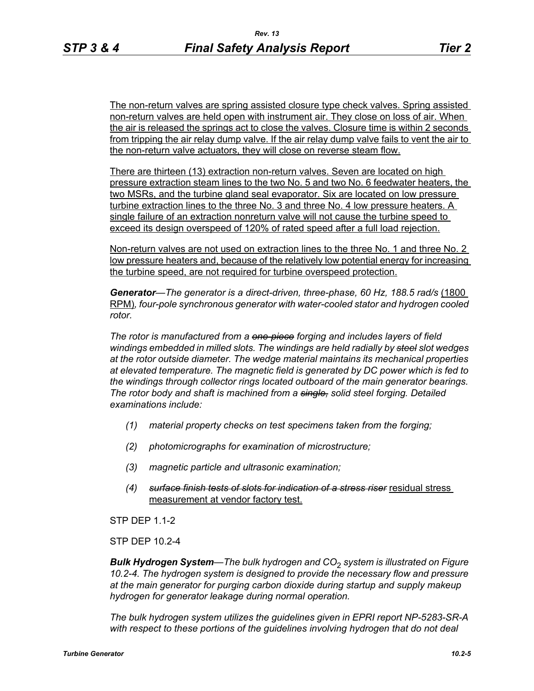The non-return valves are spring assisted closure type check valves. Spring assisted non-return valves are held open with instrument air. They close on loss of air. When the air is released the springs act to close the valves. Closure time is within 2 seconds from tripping the air relay dump valve. If the air relay dump valve fails to vent the air to the non-return valve actuators, they will close on reverse steam flow.

There are thirteen (13) extraction non-return valves. Seven are located on high pressure extraction steam lines to the two No. 5 and two No. 6 feedwater heaters, the two MSRs, and the turbine gland seal evaporator. Six are located on low pressure turbine extraction lines to the three No. 3 and three No. 4 low pressure heaters. A single failure of an extraction nonreturn valve will not cause the turbine speed to exceed its design overspeed of 120% of rated speed after a full load rejection.

Non-return valves are not used on extraction lines to the three No. 1 and three No. 2 low pressure heaters and, because of the relatively low potential energy for increasing the turbine speed, are not required for turbine overspeed protection.

Generator—The generator is a direct-driven, three-phase, 60 Hz, 188.5 rad/s (1800 RPM)*, four-pole synchronous generator with water-cooled stator and hydrogen cooled rotor.*

*The rotor is manufactured from a one-piece forging and includes layers of field windings embedded in milled slots. The windings are held radially by steel slot wedges at the rotor outside diameter. The wedge material maintains its mechanical properties at elevated temperature. The magnetic field is generated by DC power which is fed to the windings through collector rings located outboard of the main generator bearings. The rotor body and shaft is machined from a single, solid steel forging. Detailed examinations include:* 

- *(1) material property checks on test specimens taken from the forging;*
- *(2) photomicrographs for examination of microstructure;*
- *(3) magnetic particle and ultrasonic examination;*
- *(4) surface finish tests of slots for indication of a stress riser* residual stress measurement at vendor factory test.

STP DFP 11-2

STP DEP 10.2-4

*Bulk Hydrogen System—The bulk hydrogen and CO*2 *system is illustrated on Figure 10.2-4. The hydrogen system is designed to provide the necessary flow and pressure at the main generator for purging carbon dioxide during startup and supply makeup hydrogen for generator leakage during normal operation.*

*The bulk hydrogen system utilizes the guidelines given in EPRI report NP-5283-SR-A*  with respect to these portions of the guidelines involving hydrogen that do not deal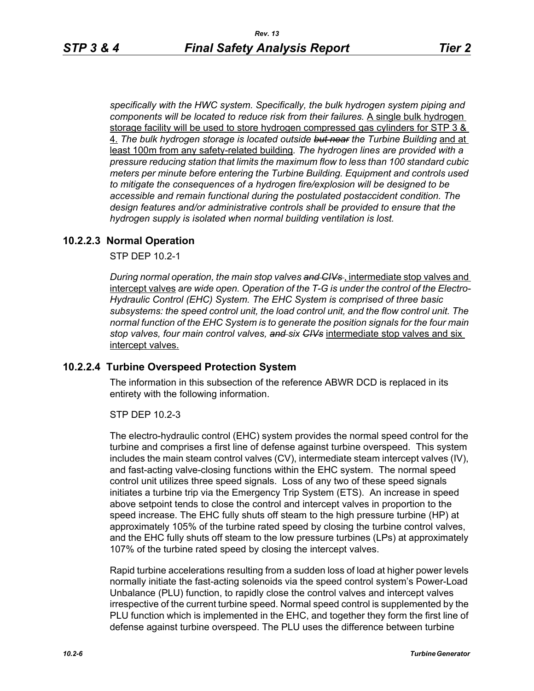*specifically with the HWC system. Specifically, the bulk hydrogen system piping and components will be located to reduce risk from their failures.* A single bulk hydrogen storage facility will be used to store hydrogen compressed gas cylinders for STP 3 & 4. *The bulk hydrogen storage is located outside but near the Turbine Building* and at least 100m from any safety-related building*. The hydrogen lines are provided with a pressure reducing station that limits the maximum flow to less than 100 standard cubic meters per minute before entering the Turbine Building. Equipment and controls used to mitigate the consequences of a hydrogen fire/explosion will be designed to be accessible and remain functional during the postulated postaccident condition. The design features and/or administrative controls shall be provided to ensure that the hydrogen supply is isolated when normal building ventilation is lost.*

# **10.2.2.3 Normal Operation**

STP DEP 10.2-1

*During normal operation, the main stop valves and CIVs* , intermediate stop valves and intercept valves *are wide open. Operation of the T-G is under the control of the Electro-Hydraulic Control (EHC) System. The EHC System is comprised of three basic subsystems: the speed control unit, the load control unit, and the flow control unit. The normal function of the EHC System is to generate the position signals for the four main stop valves, four main control valves, and six CIVs* intermediate stop valves and six intercept valves.

## **10.2.2.4 Turbine Overspeed Protection System**

The information in this subsection of the reference ABWR DCD is replaced in its entirety with the following information.

STP DEP 10.2-3

The electro-hydraulic control (EHC) system provides the normal speed control for the turbine and comprises a first line of defense against turbine overspeed. This system includes the main steam control valves (CV), intermediate steam intercept valves (IV), and fast-acting valve-closing functions within the EHC system. The normal speed control unit utilizes three speed signals. Loss of any two of these speed signals initiates a turbine trip via the Emergency Trip System (ETS). An increase in speed above setpoint tends to close the control and intercept valves in proportion to the speed increase. The EHC fully shuts off steam to the high pressure turbine (HP) at approximately 105% of the turbine rated speed by closing the turbine control valves, and the EHC fully shuts off steam to the low pressure turbines (LPs) at approximately 107% of the turbine rated speed by closing the intercept valves.

Rapid turbine accelerations resulting from a sudden loss of load at higher power levels normally initiate the fast-acting solenoids via the speed control system's Power-Load Unbalance (PLU) function, to rapidly close the control valves and intercept valves irrespective of the current turbine speed. Normal speed control is supplemented by the PLU function which is implemented in the EHC, and together they form the first line of defense against turbine overspeed. The PLU uses the difference between turbine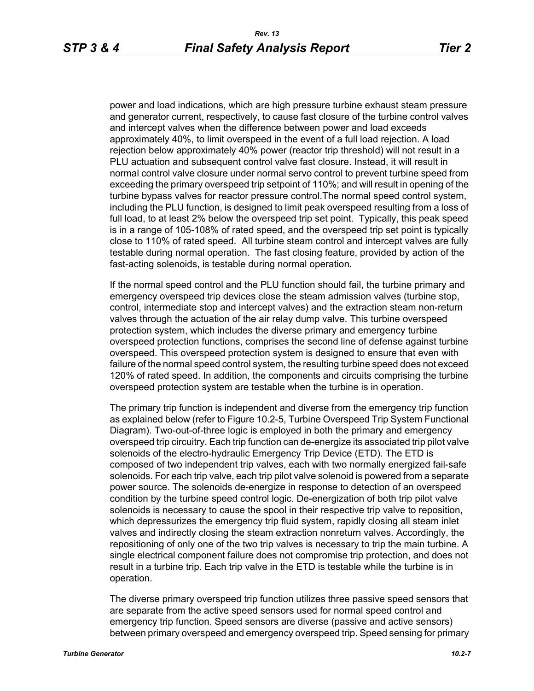power and load indications, which are high pressure turbine exhaust steam pressure and generator current, respectively, to cause fast closure of the turbine control valves and intercept valves when the difference between power and load exceeds approximately 40%, to limit overspeed in the event of a full load rejection. A load rejection below approximately 40% power (reactor trip threshold) will not result in a PLU actuation and subsequent control valve fast closure. Instead, it will result in normal control valve closure under normal servo control to prevent turbine speed from exceeding the primary overspeed trip setpoint of 110%; and will result in opening of the turbine bypass valves for reactor pressure control.The normal speed control system, including the PLU function, is designed to limit peak overspeed resulting from a loss of full load, to at least 2% below the overspeed trip set point. Typically, this peak speed is in a range of 105-108% of rated speed, and the overspeed trip set point is typically close to 110% of rated speed. All turbine steam control and intercept valves are fully testable during normal operation. The fast closing feature, provided by action of the fast-acting solenoids, is testable during normal operation.

If the normal speed control and the PLU function should fail, the turbine primary and emergency overspeed trip devices close the steam admission valves (turbine stop, control, intermediate stop and intercept valves) and the extraction steam non-return valves through the actuation of the air relay dump valve. This turbine overspeed protection system, which includes the diverse primary and emergency turbine overspeed protection functions, comprises the second line of defense against turbine overspeed. This overspeed protection system is designed to ensure that even with failure of the normal speed control system, the resulting turbine speed does not exceed 120% of rated speed. In addition, the components and circuits comprising the turbine overspeed protection system are testable when the turbine is in operation.

The primary trip function is independent and diverse from the emergency trip function as explained below (refer to Figure 10.2-5, Turbine Overspeed Trip System Functional Diagram). Two-out-of-three logic is employed in both the primary and emergency overspeed trip circuitry. Each trip function can de-energize its associated trip pilot valve solenoids of the electro-hydraulic Emergency Trip Device (ETD). The ETD is composed of two independent trip valves, each with two normally energized fail-safe solenoids. For each trip valve, each trip pilot valve solenoid is powered from a separate power source. The solenoids de-energize in response to detection of an overspeed condition by the turbine speed control logic. De-energization of both trip pilot valve solenoids is necessary to cause the spool in their respective trip valve to reposition, which depressurizes the emergency trip fluid system, rapidly closing all steam inlet valves and indirectly closing the steam extraction nonreturn valves. Accordingly, the repositioning of only one of the two trip valves is necessary to trip the main turbine. A single electrical component failure does not compromise trip protection, and does not result in a turbine trip. Each trip valve in the ETD is testable while the turbine is in operation.

The diverse primary overspeed trip function utilizes three passive speed sensors that are separate from the active speed sensors used for normal speed control and emergency trip function. Speed sensors are diverse (passive and active sensors) between primary overspeed and emergency overspeed trip. Speed sensing for primary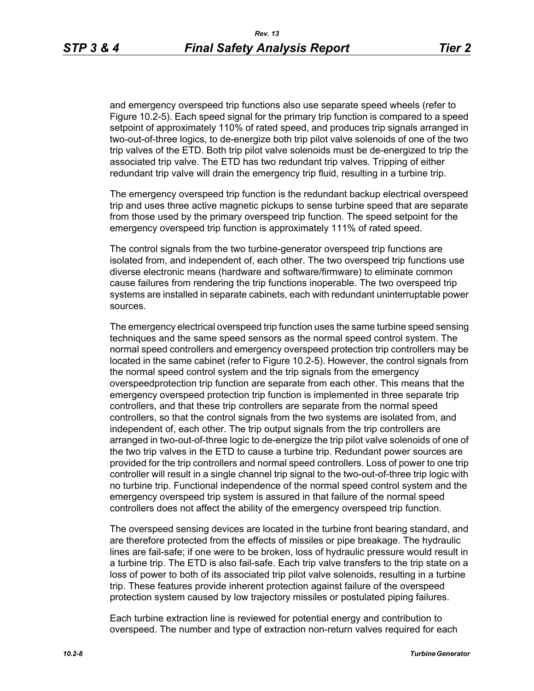and emergency overspeed trip functions also use separate speed wheels (refer to Figure 10.2-5). Each speed signal for the primary trip function is compared to a speed setpoint of approximately 110% of rated speed, and produces trip signals arranged in two-out-of-three logics, to de-energize both trip pilot valve solenoids of one of the two trip valves of the ETD. Both trip pilot valve solenoids must be de-energized to trip the associated trip valve. The ETD has two redundant trip valves. Tripping of either redundant trip valve will drain the emergency trip fluid, resulting in a turbine trip.

The emergency overspeed trip function is the redundant backup electrical overspeed trip and uses three active magnetic pickups to sense turbine speed that are separate from those used by the primary overspeed trip function. The speed setpoint for the emergency overspeed trip function is approximately 111% of rated speed.

The control signals from the two turbine-generator overspeed trip functions are isolated from, and independent of, each other. The two overspeed trip functions use diverse electronic means (hardware and software/firmware) to eliminate common cause failures from rendering the trip functions inoperable. The two overspeed trip systems are installed in separate cabinets, each with redundant uninterruptable power sources.

The emergency electrical overspeed trip function uses the same turbine speed sensing techniques and the same speed sensors as the normal speed control system. The normal speed controllers and emergency overspeed protection trip controllers may be located in the same cabinet (refer to Figure 10.2-5). However, the control signals from the normal speed control system and the trip signals from the emergency overspeedprotection trip function are separate from each other. This means that the emergency overspeed protection trip function is implemented in three separate trip controllers, and that these trip controllers are separate from the normal speed controllers, so that the control signals from the two systems are isolated from, and independent of, each other. The trip output signals from the trip controllers are arranged in two-out-of-three logic to de-energize the trip pilot valve solenoids of one of the two trip valves in the ETD to cause a turbine trip. Redundant power sources are provided for the trip controllers and normal speed controllers. Loss of power to one trip controller will result in a single channel trip signal to the two-out-of-three trip logic with no turbine trip. Functional independence of the normal speed control system and the emergency overspeed trip system is assured in that failure of the normal speed controllers does not affect the ability of the emergency overspeed trip function.

The overspeed sensing devices are located in the turbine front bearing standard, and are therefore protected from the effects of missiles or pipe breakage. The hydraulic lines are fail-safe; if one were to be broken, loss of hydraulic pressure would result in a turbine trip. The ETD is also fail-safe. Each trip valve transfers to the trip state on a loss of power to both of its associated trip pilot valve solenoids, resulting in a turbine trip. These features provide inherent protection against failure of the overspeed protection system caused by low trajectory missiles or postulated piping failures.

Each turbine extraction line is reviewed for potential energy and contribution to overspeed. The number and type of extraction non-return valves required for each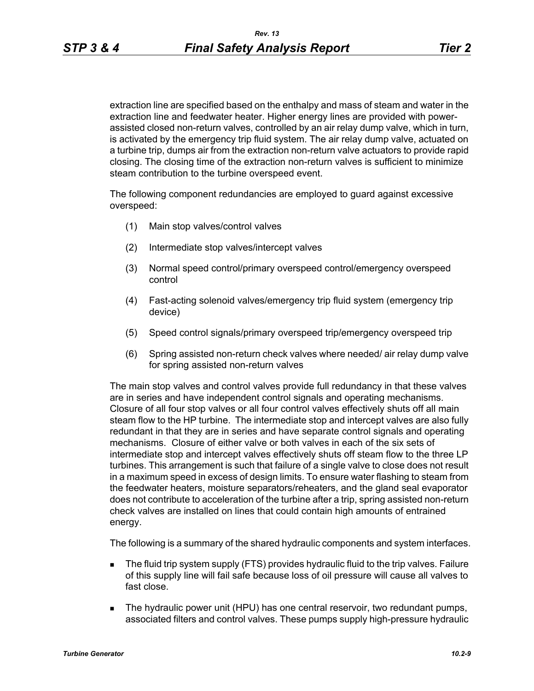extraction line are specified based on the enthalpy and mass of steam and water in the extraction line and feedwater heater. Higher energy lines are provided with powerassisted closed non-return valves, controlled by an air relay dump valve, which in turn, is activated by the emergency trip fluid system. The air relay dump valve, actuated on a turbine trip, dumps air from the extraction non-return valve actuators to provide rapid closing. The closing time of the extraction non-return valves is sufficient to minimize steam contribution to the turbine overspeed event.

The following component redundancies are employed to guard against excessive overspeed:

- (1) Main stop valves/control valves
- (2) Intermediate stop valves/intercept valves
- (3) Normal speed control/primary overspeed control/emergency overspeed control
- (4) Fast-acting solenoid valves/emergency trip fluid system (emergency trip device)
- (5) Speed control signals/primary overspeed trip/emergency overspeed trip
- (6) Spring assisted non-return check valves where needed/ air relay dump valve for spring assisted non-return valves

The main stop valves and control valves provide full redundancy in that these valves are in series and have independent control signals and operating mechanisms. Closure of all four stop valves or all four control valves effectively shuts off all main steam flow to the HP turbine. The intermediate stop and intercept valves are also fully redundant in that they are in series and have separate control signals and operating mechanisms. Closure of either valve or both valves in each of the six sets of intermediate stop and intercept valves effectively shuts off steam flow to the three LP turbines. This arrangement is such that failure of a single valve to close does not result in a maximum speed in excess of design limits. To ensure water flashing to steam from the feedwater heaters, moisture separators/reheaters, and the gland seal evaporator does not contribute to acceleration of the turbine after a trip, spring assisted non-return check valves are installed on lines that could contain high amounts of entrained energy.

The following is a summary of the shared hydraulic components and system interfaces.

- **The fluid trip system supply (FTS) provides hydraulic fluid to the trip valves. Failure** of this supply line will fail safe because loss of oil pressure will cause all valves to fast close.
- **The hydraulic power unit (HPU) has one central reservoir, two redundant pumps,** associated filters and control valves. These pumps supply high-pressure hydraulic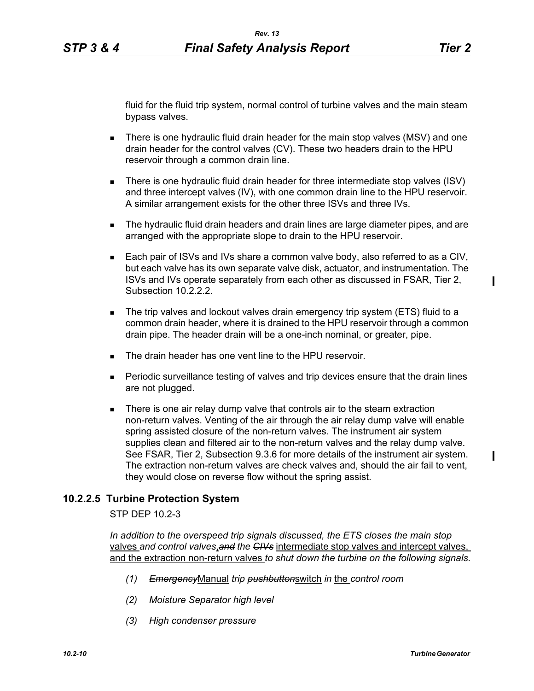fluid for the fluid trip system, normal control of turbine valves and the main steam bypass valves.

- There is one hydraulic fluid drain header for the main stop valves (MSV) and one drain header for the control valves (CV). These two headers drain to the HPU reservoir through a common drain line.
- There is one hydraulic fluid drain header for three intermediate stop valves (ISV) and three intercept valves (IV), with one common drain line to the HPU reservoir. A similar arrangement exists for the other three ISVs and three IVs.
- **The hydraulic fluid drain headers and drain lines are large diameter pipes, and are** arranged with the appropriate slope to drain to the HPU reservoir.
- Each pair of ISVs and IVs share a common valve body, also referred to as a CIV, but each valve has its own separate valve disk, actuator, and instrumentation. The ISVs and IVs operate separately from each other as discussed in FSAR, Tier 2, Subsection 10.2.2.2.
- The trip valves and lockout valves drain emergency trip system (ETS) fluid to a common drain header, where it is drained to the HPU reservoir through a common drain pipe. The header drain will be a one-inch nominal, or greater, pipe.
- The drain header has one vent line to the HPU reservoir
- Periodic surveillance testing of valves and trip devices ensure that the drain lines are not plugged.
- **There is one air relay dump valve that controls air to the steam extraction** non-return valves. Venting of the air through the air relay dump valve will enable spring assisted closure of the non-return valves. The instrument air system supplies clean and filtered air to the non-return valves and the relay dump valve. See FSAR, Tier 2, Subsection 9.3.6 for more details of the instrument air system. The extraction non-return valves are check valves and, should the air fail to vent, they would close on reverse flow without the spring assist.

## **10.2.2.5 Turbine Protection System**

STP DEP 10.2-3

*In addition to the overspeed trip signals discussed, the ETS closes the main stop*  valves *and control valves*,*and the CIVs* intermediate stop valves and intercept valves, and the extraction non-return valves *to shut down the turbine on the following signals.*

- *(1) Emergency*Manual *trip pushbutton*switch *in* the *control room*
- *(2) Moisture Separator high level*
- *(3) High condenser pressure*

 $\blacksquare$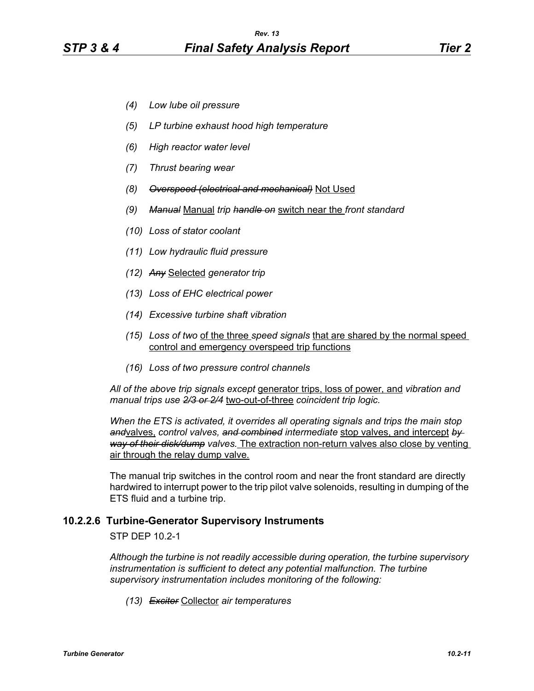- *(4) Low lube oil pressure*
- *(5) LP turbine exhaust hood high temperature*
- *(6) High reactor water level*
- *(7) Thrust bearing wear*
- *(8) Overspeed (electrical and mechanical)* Not Used
- *(9) Manual* Manual *trip handle on* switch near the *front standard*
- *(10) Loss of stator coolant*
- *(11) Low hydraulic fluid pressure*
- *(12) Any* Selected *generator trip*
- *(13) Loss of EHC electrical power*
- *(14) Excessive turbine shaft vibration*
- *(15) Loss of two* of the three *speed signals* that are shared by the normal speed control and emergency overspeed trip functions
- *(16) Loss of two pressure control channels*

*All of the above trip signals except* generator trips, loss of power, and *vibration and manual trips use 2/3 or 2/4* two-out-of-three *coincident trip logic.*

*When the ETS is activated, it overrides all operating signals and trips the main stop and*valves, *control valves, and combined intermediate* stop valves, and intercept *by way of their disk/dump valves.* The extraction non-return valves also close by venting air through the relay dump valve.

The manual trip switches in the control room and near the front standard are directly hardwired to interrupt power to the trip pilot valve solenoids, resulting in dumping of the ETS fluid and a turbine trip.

#### **10.2.2.6 Turbine-Generator Supervisory Instruments**

STP DEP 10.2-1

*Although the turbine is not readily accessible during operation, the turbine supervisory instrumentation is sufficient to detect any potential malfunction. The turbine supervisory instrumentation includes monitoring of the following:*

*(13) Exciter* Collector *air temperatures*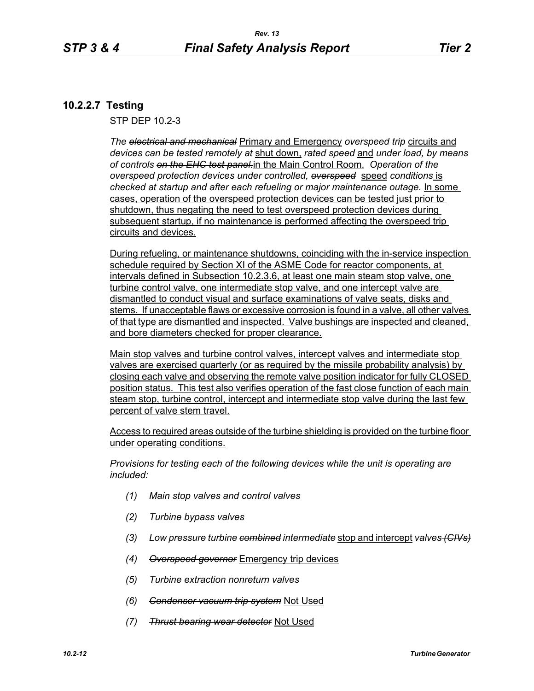# **10.2.2.7 Testing**

STP DEP 10.2-3

*The electrical and mechanical* Primary and Emergency *overspeed trip* circuits and *devices can be tested remotely at* shut down, *rated speed* and *under load, by means of controls on the EHC test panel.*in the Main Control Room. *Operation of the overspeed protection devices under controlled, overspeed* speed *conditions* is checked at startup and after each refueling or major maintenance outage. **In some** cases, operation of the overspeed protection devices can be tested just prior to shutdown, thus negating the need to test overspeed protection devices during subsequent startup, if no maintenance is performed affecting the overspeed trip circuits and devices.

During refueling, or maintenance shutdowns, coinciding with the in-service inspection schedule required by Section XI of the ASME Code for reactor components, at intervals defined in Subsection 10.2.3.6, at least one main steam stop valve, one turbine control valve, one intermediate stop valve, and one intercept valve are dismantled to conduct visual and surface examinations of valve seats, disks and stems. If unacceptable flaws or excessive corrosion is found in a valve, all other valves of that type are dismantled and inspected. Valve bushings are inspected and cleaned, and bore diameters checked for proper clearance.

Main stop valves and turbine control valves, intercept valves and intermediate stop valves are exercised quarterly (or as required by the missile probability analysis) by closing each valve and observing the remote valve position indicator for fully CLOSED position status. This test also verifies operation of the fast close function of each main steam stop, turbine control, intercept and intermediate stop valve during the last few percent of valve stem travel.

Access to required areas outside of the turbine shielding is provided on the turbine floor under operating conditions.

*Provisions for testing each of the following devices while the unit is operating are included:*

- *(1) Main stop valves and control valves*
- *(2) Turbine bypass valves*
- *(3) Low pressure turbine combined intermediate* stop and intercept *valves (CIVs)*
- *(4) Overspeed governor* Emergency trip devices
- *(5) Turbine extraction nonreturn valves*
- *(6) Condenser vacuum trip system* Not Used
- *(7) Thrust bearing wear detector* Not Used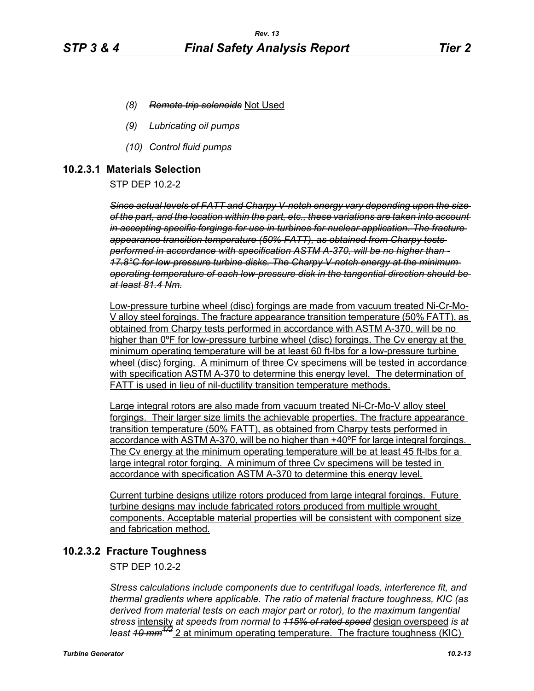- *(8) Remote trip solenoids* Not Used
- *(9) Lubricating oil pumps*
- *(10) Control fluid pumps*

## **10.2.3.1 Materials Selection**

STP DEP 10.2-2

*Since actual levels of FATT and Charpy V-notch energy vary depending upon the size of the part, and the location within the part, etc., these variations are taken into account in accepting specific forgings for use in turbines for nuclear application. The fracture appearance transition temperature (50% FATT), as obtained from Charpy tests performed in accordance with specification ASTM A-370, will be no higher than - 17.8°C for low-pressure turbine disks. The Charpy V-notch energy at the minimum operating temperature of each low-pressure disk in the tangential direction should be at least 81.4 Nm.*

Low-pressure turbine wheel (disc) forgings are made from vacuum treated Ni-Cr-Mo-V alloy steel forgings. The fracture appearance transition temperature (50% FATT), as obtained from Charpy tests performed in accordance with ASTM A-370, will be no higher than 0ºF for low-pressure turbine wheel (disc) forgings. The Cv energy at the minimum operating temperature will be at least 60 ft-lbs for a low-pressure turbine wheel (disc) forging. A minimum of three Cv specimens will be tested in accordance with specification ASTM A-370 to determine this energy level. The determination of FATT is used in lieu of nil-ductility transition temperature methods.

Large integral rotors are also made from vacuum treated Ni-Cr-Mo-V alloy steel forgings. Their larger size limits the achievable properties. The fracture appearance transition temperature (50% FATT), as obtained from Charpy tests performed in accordance with ASTM A-370, will be no higher than +40ºF for large integral forgings. The Cv energy at the minimum operating temperature will be at least 45 ft-lbs for a large integral rotor forging. A minimum of three Cv specimens will be tested in accordance with specification ASTM A-370 to determine this energy level.

Current turbine designs utilize rotors produced from large integral forgings. Future turbine designs may include fabricated rotors produced from multiple wrought components. Acceptable material properties will be consistent with component size and fabrication method.

## **10.2.3.2 Fracture Toughness**

STP DEP 10.2-2

*Stress calculations include components due to centrifugal loads, interference fit, and thermal gradients where applicable. The ratio of material fracture toughness, KIC (as derived from material tests on each major part or rotor), to the maximum tangential stress* intensity *at speeds from normal to 115% of rated speed* design overspeed *is at least 10 mm1/2* 2 at minimum operating temperature. The fracture toughness (KIC)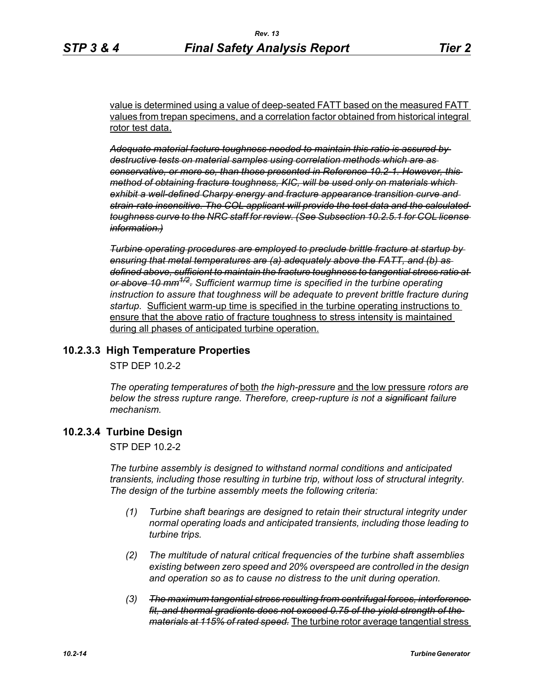value is determined using a value of deep-seated FATT based on the measured FATT values from trepan specimens, and a correlation factor obtained from historical integral rotor test data.

*Adequate material facture toughness needed to maintain this ratio is assured by destructive tests on material samples using correlation methods which are as conservative, or more so, than those presented in Reference 10.2-1. However, this method of obtaining fracture toughness, KIC, will be used only on materials which exhibit a well-defined Charpy energy and fracture appearance transition curve and strain-rate insensitive. The COL applicant will provide the test data and the calculated toughness curve to the NRC staff for review. (See Subsection 10.2.5.1 for COL license information.)*

*Turbine operating procedures are employed to preclude brittle fracture at startup by ensuring that metal temperatures are (a) adequately above the FATT, and (b) as defined above, sufficient to maintain the fracture toughness to tangential stress ratio at or above 10 mm1/2. Sufficient warmup time is specified in the turbine operating instruction to assure that toughness will be adequate to prevent brittle fracture during startup.* Sufficient warm-up time is specified in the turbine operating instructions to ensure that the above ratio of fracture toughness to stress intensity is maintained during all phases of anticipated turbine operation.

## **10.2.3.3 High Temperature Properties**

STP DEP 10.2-2

*The operating temperatures of* both *the high-pressure* and the low pressure *rotors are below the stress rupture range. Therefore, creep-rupture is not a significant failure mechanism.* 

# **10.2.3.4 Turbine Design**

STP DEP 10.2-2

*The turbine assembly is designed to withstand normal conditions and anticipated transients, including those resulting in turbine trip, without loss of structural integrity. The design of the turbine assembly meets the following criteria:* 

- *(1) Turbine shaft bearings are designed to retain their structural integrity under normal operating loads and anticipated transients, including those leading to turbine trips.*
- *(2) The multitude of natural critical frequencies of the turbine shaft assemblies existing between zero speed and 20% overspeed are controlled in the design and operation so as to cause no distress to the unit during operation.*
- *(3) The maximum tangential stress resulting from centrifugal forces, interference fit, and thermal gradients does not exceed 0.75 of the yield strength of the materials at 115% of rated speed.* The turbine rotor average tangential stress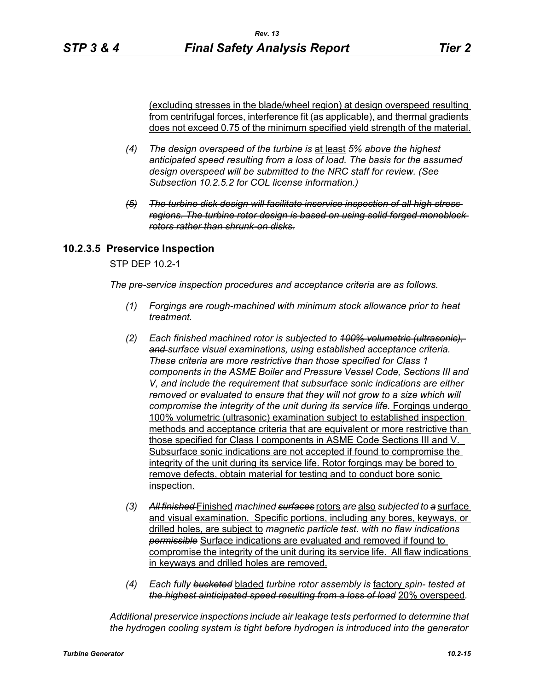(excluding stresses in the blade/wheel region) at design overspeed resulting from centrifugal forces, interference fit (as applicable), and thermal gradients does not exceed 0.75 of the minimum specified yield strength of the material.

- *(4) The design overspeed of the turbine is* at least *5% above the highest anticipated speed resulting from a loss of load. The basis for the assumed design overspeed will be submitted to the NRC staff for review. (See Subsection 10.2.5.2 for COL license information.)*
- *(5) The turbine disk design will facilitate inservice inspection of all high stress regions. The turbine rotor design is based on using solid forged monoblock rotors rather than shrunk-on disks.*

# **10.2.3.5 Preservice Inspection**

STP DEP 10.2-1

*The pre-service inspection procedures and acceptance criteria are as follows.*

- *(1) Forgings are rough-machined with minimum stock allowance prior to heat treatment.*
- *(2) Each finished machined rotor is subjected to 100% volumetric (ultrasonic), and surface visual examinations, using established acceptance criteria. These criteria are more restrictive than those specified for Class 1 components in the ASME Boiler and Pressure Vessel Code, Sections III and V, and include the requirement that subsurface sonic indications are either removed or evaluated to ensure that they will not grow to a size which will compromise the integrity of the unit during its service life.* Forgings undergo 100% volumetric (ultrasonic) examination subject to established inspection methods and acceptance criteria that are equivalent or more restrictive than those specified for Class I components in ASME Code Sections III and V. Subsurface sonic indications are not accepted if found to compromise the integrity of the unit during its service life. Rotor forgings may be bored to remove defects, obtain material for testing and to conduct bore sonic inspection.
- *(3) All finished* Finished *machined surfaces* rotors *are* also *subjected to a* surface and visual examination. Specific portions, including any bores, keyways, or drilled holes, are subject to *magnetic particle test. with no flaw indications permissible* Surface indications are evaluated and removed if found to compromise the integrity of the unit during its service life. All flaw indications in keyways and drilled holes are removed.
- *(4) Each fully bucketed* bladed *turbine rotor assembly is* factory *spin- tested at the highest ainticipated speed resulting from a loss of load* 20% overspeed*.*

*Additional preservice inspections include air leakage tests performed to determine that the hydrogen cooling system is tight before hydrogen is introduced into the generator*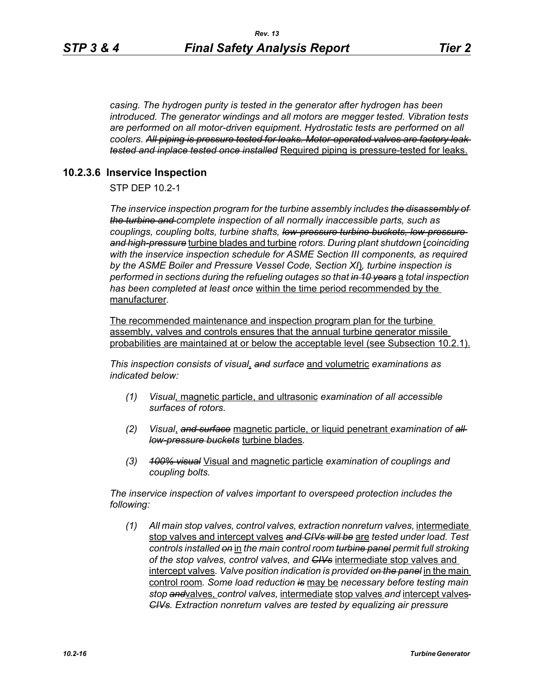*casing. The hydrogen purity is tested in the generator after hydrogen has been introduced. The generator windings and all motors are megger tested. Vibration tests are performed on all motor-driven equipment. Hydrostatic tests are performed on all coolers. All piping is pressure tested for leaks. Motor-operated valves are factory leak tested and inplace tested once installed* Required piping is pressure-tested for leaks.

#### **10.2.3.6 Inservice Inspection**

STP DEP 10.2-1

*The inservice inspection program for the turbine assembly includes the disassembly of the turbine and complete inspection of all normally inaccessible parts, such as couplings, coupling bolts, turbine shafts, low-pressure turbine buckets, low-pressure and high-pressure* turbine blades and turbine *rotors. During plant shutdown* (*coinciding with the inservice inspection schedule for ASME Section III components, as required by the ASME Boiler and Pressure Vessel Code, Section XI*)*, turbine inspection is performed in sections during the refueling outages so that in 10 years* a *total inspection has been completed at least once* within the time period recommended by the manufacturer*.* 

The recommended maintenance and inspection program plan for the turbine assembly, valves and controls ensures that the annual turbine generator missile probabilities are maintained at or below the acceptable level (see Subsection 10.2.1).

*This inspection consists of visual*, *and surface* and volumetric *examinations as indicated below:*

- *(1) Visual,* magnetic particle, and ultrasonic *examination of all accessible surfaces of rotors.*
- *(2) Visual*, *and surface* magnetic particle, or liquid penetrant *examination of all low-pressure buckets* turbine blades*.*
- *(3) 100% visual* Visual and magnetic particle *examination of couplings and coupling bolts.*

*The inservice inspection of valves important to overspeed protection includes the following:*

*(1) All main stop valves, control valves, extraction nonreturn valves,* intermediate stop valves and intercept valves *and CIVs will be* are *tested under load. Test controls installed on* in *the main control room turbine panel permit full stroking of the stop valves, control valves, and CIVs* intermediate stop valves and intercept valves*. Valve position indication is provided on the panel* in the main control room*. Some load reduction is* may be *necessary before testing main stop and*valves, *control valves,* intermediate stop valves *and* intercept valves *CIVs. Extraction nonreturn valves are tested by equalizing air pressure*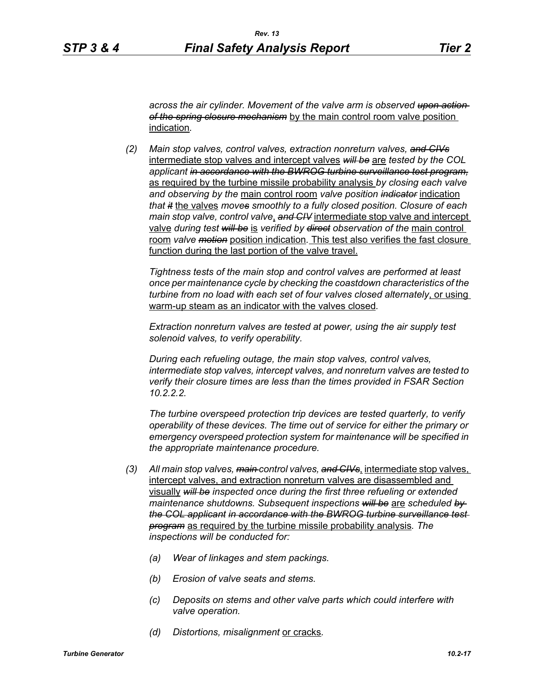*across the air cylinder. Movement of the valve arm is observed upon action of the spring closure mechanism* by the main control room valve position indication*.*

*(2) Main stop valves, control valves, extraction nonreturn valves, and CIVs* intermediate stop valves and intercept valves *will be* are *tested by the COL applicant in accordance with the BWROG turbine surveillance test program,* as required by the turbine missile probability analysis *by closing each valve and observing by the* main control room *valve position indicator* indication *that it* the valves *moves smoothly to a fully closed position. Closure of each main stop valve, control valve*, *and CIV* intermediate stop valve and intercept valve *during test will be* is *verified by direct observation of the* main control room *valve motion* position indication*.* This test also verifies the fast closure function during the last portion of the valve travel.

*Tightness tests of the main stop and control valves are performed at least once per maintenance cycle by checking the coastdown characteristics of the turbine from no load with each set of four valves closed alternately*, or using warm-up steam as an indicator with the valves closed*.* 

*Extraction nonreturn valves are tested at power, using the air supply test solenoid valves, to verify operability.*

*During each refueling outage, the main stop valves, control valves, intermediate stop valves, intercept valves, and nonreturn valves are tested to verify their closure times are less than the times provided in FSAR Section 10.2.2.2.*

*The turbine overspeed protection trip devices are tested quarterly, to verify operability of these devices. The time out of service for either the primary or emergency overspeed protection system for maintenance will be specified in the appropriate maintenance procedure.*

- *(3) All main stop valves, main control valves, and CIVs*, intermediate stop valves, intercept valves, and extraction nonreturn valves are disassembled and visually *will be inspected once during the first three refueling or extended maintenance shutdowns. Subsequent inspections will be* are *scheduled by the COL applicant in accordance with the BWROG turbine surveillance test program* as required by the turbine missile probability analysis*. The inspections will be conducted for:* 
	- *(a) Wear of linkages and stem packings.*
	- *(b) Erosion of valve seats and stems.*
	- *(c) Deposits on stems and other valve parts which could interfere with valve operation.*
	- *(d) Distortions, misalignment* or cracks*.*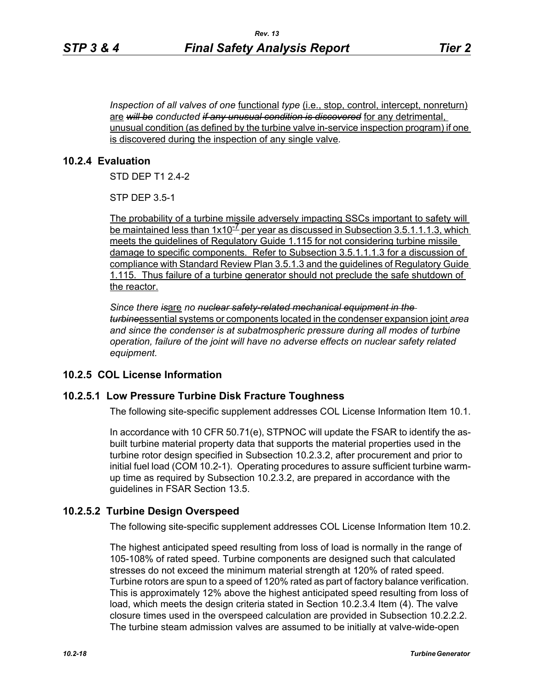*Inspection of all valves of one* <u>functional *type* (i.e., stop, control, intercept, nonreturn)</u> are *will be conducted if any unusual condition is discovered* for any detrimental, unusual condition (as defined by the turbine valve in-service inspection program) if one is discovered during the inspection of any single valve*.*

## **10.2.4 Evaluation**

STD DEP T1 2.4-2

STP DEP 3.5-1

The probability of a turbine missile adversely impacting SSCs important to safety will be maintained less than  $1x10^{-7}$  per year as discussed in Subsection 3.5.1.1.1.3, which meets the guidelines of Regulatory Guide 1.115 for not considering turbine missile damage to specific components. Refer to Subsection 3.5.1.1.1.3 for a discussion of compliance with Standard Review Plan 3.5.1.3 and the guidelines of Regulatory Guide 1.115. Thus failure of a turbine generator should not preclude the safe shutdown of the reactor.

*Since there is*are *no nuclear safety-related mechanical equipment in the turbine*essential systems or components located in the condenser expansion joint *area and since the condenser is at subatmospheric pressure during all modes of turbine operation, failure of the joint will have no adverse effects on nuclear safety related equipment.*

## **10.2.5 COL License Information**

## **10.2.5.1 Low Pressure Turbine Disk Fracture Toughness**

The following site-specific supplement addresses COL License Information Item 10.1.

In accordance with 10 CFR 50.71(e), STPNOC will update the FSAR to identify the asbuilt turbine material property data that supports the material properties used in the turbine rotor design specified in Subsection 10.2.3.2, after procurement and prior to initial fuel load (COM 10.2-1). Operating procedures to assure sufficient turbine warmup time as required by Subsection 10.2.3.2, are prepared in accordance with the guidelines in FSAR Section 13.5.

## **10.2.5.2 Turbine Design Overspeed**

The following site-specific supplement addresses COL License Information Item 10.2.

The highest anticipated speed resulting from loss of load is normally in the range of 105-108% of rated speed. Turbine components are designed such that calculated stresses do not exceed the minimum material strength at 120% of rated speed. Turbine rotors are spun to a speed of 120% rated as part of factory balance verification. This is approximately 12% above the highest anticipated speed resulting from loss of load, which meets the design criteria stated in Section 10.2.3.4 Item (4). The valve closure times used in the overspeed calculation are provided in Subsection 10.2.2.2. The turbine steam admission valves are assumed to be initially at valve-wide-open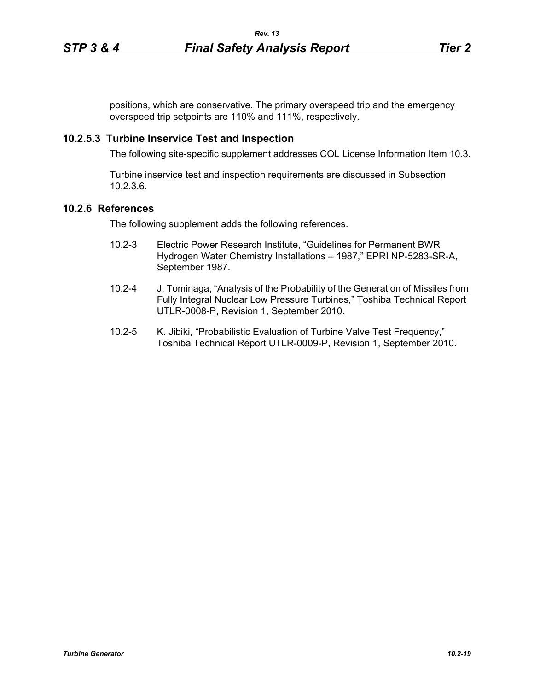positions, which are conservative. The primary overspeed trip and the emergency overspeed trip setpoints are 110% and 111%, respectively.

#### **10.2.5.3 Turbine Inservice Test and Inspection**

The following site-specific supplement addresses COL License Information Item 10.3.

Turbine inservice test and inspection requirements are discussed in Subsection 10.2.3.6.

## **10.2.6 References**

The following supplement adds the following references.

- 10.2-3 Electric Power Research Institute, "Guidelines for Permanent BWR Hydrogen Water Chemistry Installations – 1987," EPRI NP-5283-SR-A, September 1987.
- 10.2-4 J. Tominaga, "Analysis of the Probability of the Generation of Missiles from Fully Integral Nuclear Low Pressure Turbines," Toshiba Technical Report UTLR-0008-P, Revision 1, September 2010.
- 10.2-5 K. Jibiki, "Probabilistic Evaluation of Turbine Valve Test Frequency," Toshiba Technical Report UTLR-0009-P, Revision 1, September 2010.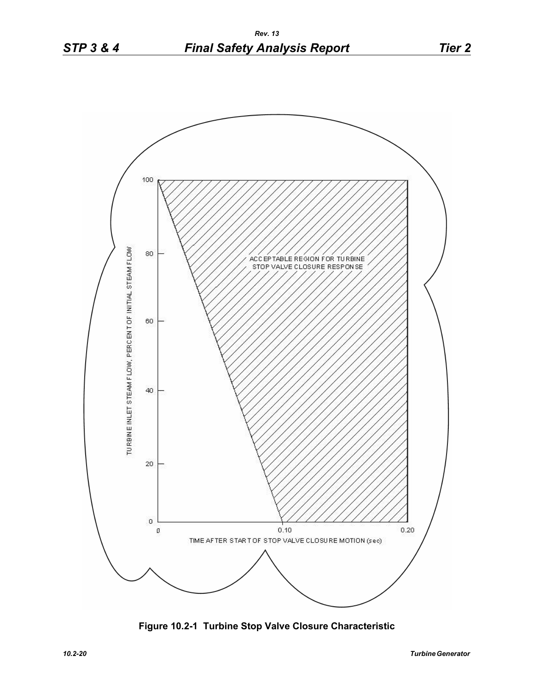

**Figure 10.2-1 Turbine Stop Valve Closure Characteristic**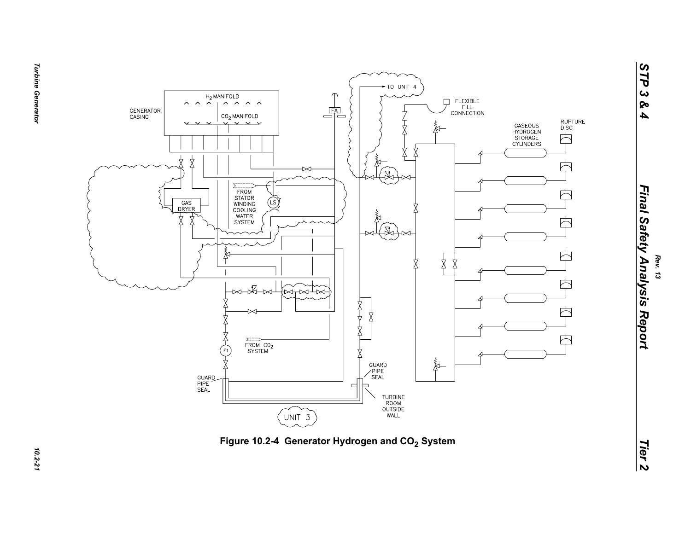



**Turbine Generator** *Turbine Generator 10.2-21*